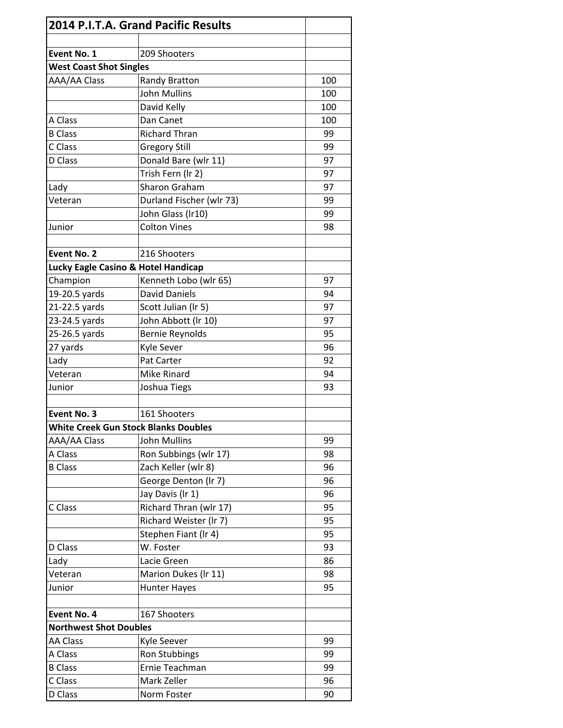|                                     | 2014 P.I.T.A. Grand Pacific Results         |     |
|-------------------------------------|---------------------------------------------|-----|
| Event No. 1                         | 209 Shooters                                |     |
| <b>West Coast Shot Singles</b>      |                                             |     |
| AAA/AA Class                        | Randy Bratton                               | 100 |
|                                     | <b>John Mullins</b>                         | 100 |
|                                     | David Kelly                                 | 100 |
| A Class                             | Dan Canet                                   | 100 |
| <b>B</b> Class                      | <b>Richard Thran</b>                        | 99  |
| C Class                             | <b>Gregory Still</b>                        | 99  |
| D Class                             | Donald Bare (wlr 11)                        | 97  |
|                                     | Trish Fern (Ir 2)                           | 97  |
| Lady                                | Sharon Graham                               | 97  |
| Veteran                             | Durland Fischer (wlr 73)                    | 99  |
|                                     | John Glass (Ir10)                           | 99  |
| Junior                              | <b>Colton Vines</b>                         | 98  |
|                                     |                                             |     |
| <b>Event No. 2</b>                  | 216 Shooters                                |     |
| Lucky Eagle Casino & Hotel Handicap |                                             |     |
| Champion                            | Kenneth Lobo (wlr 65)                       | 97  |
| 19-20.5 yards                       | <b>David Daniels</b>                        | 94  |
| 21-22.5 yards                       | Scott Julian (Ir 5)                         | 97  |
| 23-24.5 yards                       | John Abbott (Ir 10)                         | 97  |
| 25-26.5 yards                       | <b>Bernie Reynolds</b>                      | 95  |
| 27 yards                            | Kyle Sever                                  | 96  |
| Lady                                | Pat Carter                                  | 92  |
| Veteran                             | Mike Rinard                                 | 94  |
| Junior                              | Joshua Tiegs                                | 93  |
|                                     |                                             |     |
| Event No. 3                         | 161 Shooters                                |     |
|                                     | <b>White Creek Gun Stock Blanks Doubles</b> |     |
| AAA/AA Class                        | <b>John Mullins</b>                         | 99  |
| A Class                             | Ron Subbings (wlr 17)                       | 98  |
| <b>B</b> Class                      | Zach Keller (wlr 8)                         | 96  |
|                                     | George Denton (Ir 7)                        | 96  |
|                                     | Jay Davis (Ir 1)                            | 96  |
| C Class                             | Richard Thran (wlr 17)                      | 95  |
|                                     | Richard Weister (Ir 7)                      | 95  |
|                                     | Stephen Fiant (Ir 4)                        | 95  |
| D Class                             | W. Foster                                   | 93  |
| Lady                                | Lacie Green                                 | 86  |
| Veteran                             | Marion Dukes (Ir 11)                        | 98  |
| Junior                              | <b>Hunter Hayes</b>                         | 95  |
|                                     |                                             |     |
| Event No. 4                         | 167 Shooters                                |     |
| <b>Northwest Shot Doubles</b>       |                                             |     |
| <b>AA Class</b>                     | Kyle Seever                                 | 99  |
| A Class                             | Ron Stubbings                               | 99  |
| <b>B</b> Class                      | Ernie Teachman                              | 99  |
| C Class                             | Mark Zeller                                 | 96  |
| D Class                             | Norm Foster                                 | 90  |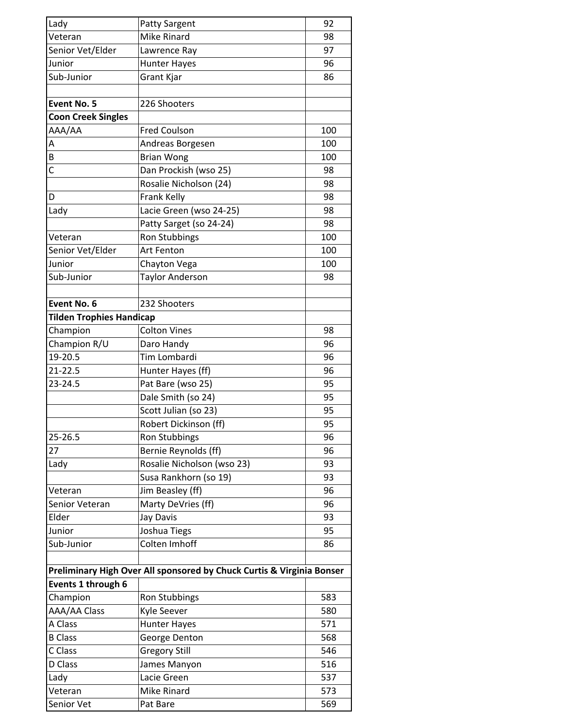| Lady                            | <b>Patty Sargent</b>                                                  | 92  |
|---------------------------------|-----------------------------------------------------------------------|-----|
| Veteran                         | Mike Rinard                                                           | 98  |
| Senior Vet/Elder                | Lawrence Ray                                                          | 97  |
| Junior                          | <b>Hunter Hayes</b>                                                   | 96  |
| Sub-Junior                      | Grant Kjar                                                            | 86  |
|                                 |                                                                       |     |
| <b>Event No. 5</b>              | 226 Shooters                                                          |     |
| <b>Coon Creek Singles</b>       |                                                                       |     |
| AAA/AA                          | <b>Fred Coulson</b>                                                   | 100 |
| A                               | Andreas Borgesen                                                      | 100 |
| B                               | <b>Brian Wong</b>                                                     | 100 |
| Ċ                               | Dan Prockish (wso 25)                                                 | 98  |
|                                 | Rosalie Nicholson (24)                                                | 98  |
| D                               | Frank Kelly                                                           | 98  |
| Lady                            | Lacie Green (wso 24-25)                                               | 98  |
|                                 | Patty Sarget (so 24-24)                                               | 98  |
| Veteran                         | <b>Ron Stubbings</b>                                                  | 100 |
| Senior Vet/Elder                | <b>Art Fenton</b>                                                     | 100 |
| Junior                          | Chayton Vega                                                          | 100 |
| Sub-Junior                      | <b>Taylor Anderson</b>                                                | 98  |
|                                 |                                                                       |     |
| Event No. 6                     | 232 Shooters                                                          |     |
| <b>Tilden Trophies Handicap</b> |                                                                       |     |
| Champion                        | <b>Colton Vines</b>                                                   | 98  |
| Champion R/U                    | Daro Handy                                                            | 96  |
| 19-20.5                         | Tim Lombardi                                                          | 96  |
| 21-22.5                         | Hunter Hayes (ff)                                                     | 96  |
| 23-24.5                         | Pat Bare (wso 25)                                                     | 95  |
|                                 | Dale Smith (so 24)                                                    | 95  |
|                                 | Scott Julian (so 23)                                                  | 95  |
|                                 | Robert Dickinson (ff)                                                 | 95  |
| 25-26.5                         | <b>Ron Stubbings</b>                                                  | 96  |
| 27                              | Bernie Reynolds (ff)                                                  | 96  |
| Lady                            | Rosalie Nicholson (wso 23)                                            | 93  |
|                                 | Susa Rankhorn (so 19)                                                 | 93  |
| Veteran                         | Jim Beasley (ff)                                                      | 96  |
| Senior Veteran                  | Marty DeVries (ff)                                                    | 96  |
| Elder                           | Jay Davis                                                             | 93  |
| Junior                          | Joshua Tiegs                                                          | 95  |
| Sub-Junior                      | Colten Imhoff                                                         | 86  |
|                                 |                                                                       |     |
|                                 | Preliminary High Over All sponsored by Chuck Curtis & Virginia Bonser |     |
| Events 1 through 6              |                                                                       |     |
| Champion                        | <b>Ron Stubbings</b>                                                  | 583 |
| AAA/AA Class                    | Kyle Seever                                                           | 580 |
| A Class                         | <b>Hunter Hayes</b>                                                   | 571 |
| <b>B</b> Class                  | George Denton                                                         | 568 |
| C Class                         | <b>Gregory Still</b>                                                  | 546 |
| D Class                         | James Manyon                                                          | 516 |
| Lady                            | Lacie Green                                                           | 537 |
| Veteran                         | Mike Rinard                                                           | 573 |
| Senior Vet                      | Pat Bare                                                              | 569 |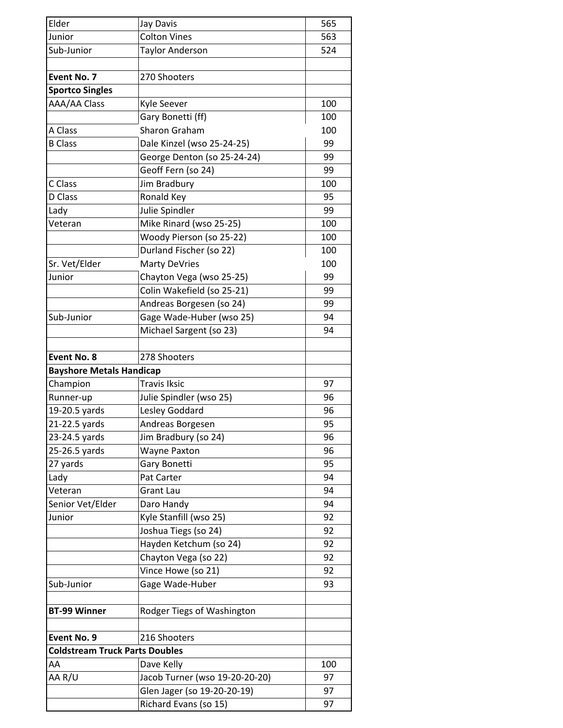| Elder                                 | Jay Davis                      | 565 |
|---------------------------------------|--------------------------------|-----|
| Junior                                | <b>Colton Vines</b>            | 563 |
| Sub-Junior                            | <b>Taylor Anderson</b>         | 524 |
|                                       |                                |     |
| Event No. 7                           | 270 Shooters                   |     |
| <b>Sportco Singles</b>                |                                |     |
| AAA/AA Class                          | Kyle Seever                    | 100 |
|                                       | Gary Bonetti (ff)              | 100 |
| A Class                               | <b>Sharon Graham</b>           | 100 |
| <b>B</b> Class                        | Dale Kinzel (wso 25-24-25)     | 99  |
|                                       | George Denton (so 25-24-24)    | 99  |
|                                       | Geoff Fern (so 24)             | 99  |
| C Class                               | Jim Bradbury                   | 100 |
| D Class                               | Ronald Key                     | 95  |
| Lady                                  | Julie Spindler                 | 99  |
| Veteran                               | Mike Rinard (wso 25-25)        | 100 |
|                                       | Woody Pierson (so 25-22)       | 100 |
|                                       | Durland Fischer (so 22)        | 100 |
| Sr. Vet/Elder                         | <b>Marty DeVries</b>           | 100 |
| Junior                                | Chayton Vega (wso 25-25)       | 99  |
|                                       | Colin Wakefield (so 25-21)     | 99  |
|                                       | Andreas Borgesen (so 24)       | 99  |
| Sub-Junior                            | Gage Wade-Huber (wso 25)       | 94  |
|                                       | Michael Sargent (so 23)        | 94  |
|                                       |                                |     |
| <b>Event No. 8</b>                    | 278 Shooters                   |     |
| <b>Bayshore Metals Handicap</b>       |                                |     |
| Champion                              | <b>Travis Iksic</b>            | 97  |
| Runner-up                             | Julie Spindler (wso 25)        | 96  |
| 19-20.5 yards                         | Lesley Goddard                 | 96  |
| 21-22.5 yards                         | Andreas Borgesen               | 95  |
| 23-24.5 yards                         | Jim Bradbury (so 24)           | 96  |
| 25-26.5 yards                         | <b>Wayne Paxton</b>            | 96  |
| 27 yards                              | Gary Bonetti                   | 95  |
| Lady                                  | Pat Carter                     | 94  |
| Veteran                               | <b>Grant Lau</b>               | 94  |
| Senior Vet/Elder                      | Daro Handy                     | 94  |
| Junior                                | Kyle Stanfill (wso 25)         | 92  |
|                                       | Joshua Tiegs (so 24)           | 92  |
|                                       | Hayden Ketchum (so 24)         | 92  |
|                                       | Chayton Vega (so 22)           | 92  |
|                                       | Vince Howe (so 21)             | 92  |
| Sub-Junior                            | Gage Wade-Huber                | 93  |
|                                       |                                |     |
| <b>BT-99 Winner</b>                   | Rodger Tiegs of Washington     |     |
| Event No. 9                           | 216 Shooters                   |     |
| <b>Coldstream Truck Parts Doubles</b> |                                |     |
| AA                                    | Dave Kelly                     | 100 |
| AA R/U                                | Jacob Turner (wso 19-20-20-20) | 97  |
|                                       | Glen Jager (so 19-20-20-19)    | 97  |
|                                       | Richard Evans (so 15)          | 97  |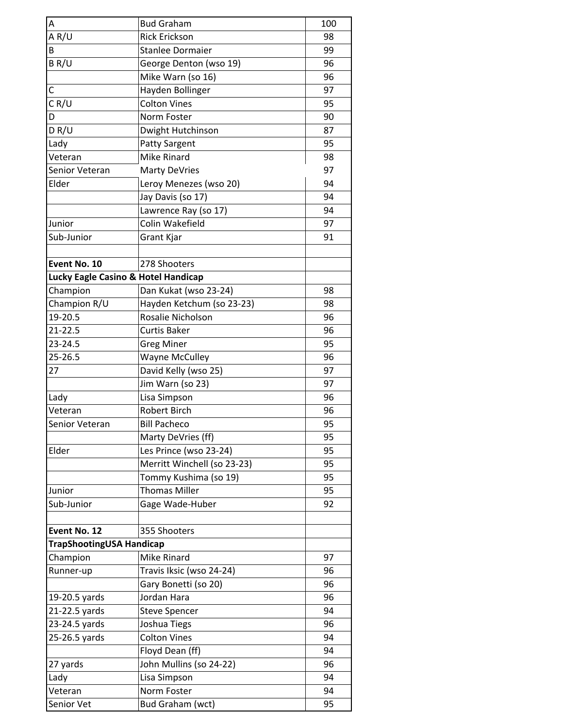| A                                   | <b>Bud Graham</b>           | 100 |
|-------------------------------------|-----------------------------|-----|
| A R/U                               | <b>Rick Erickson</b>        | 98  |
| В                                   | <b>Stanlee Dormaier</b>     | 99  |
| BR/U                                | George Denton (wso 19)      | 96  |
|                                     | Mike Warn (so 16)           | 96  |
| С                                   | Hayden Bollinger            | 97  |
| CR/U                                | <b>Colton Vines</b>         | 95  |
| D                                   | Norm Foster                 | 90  |
| DR/U                                | Dwight Hutchinson           | 87  |
| Lady                                | <b>Patty Sargent</b>        | 95  |
| Veteran                             | Mike Rinard                 | 98  |
| Senior Veteran                      | <b>Marty DeVries</b>        | 97  |
| Elder                               | Leroy Menezes (wso 20)      | 94  |
|                                     | Jay Davis (so 17)           | 94  |
|                                     | Lawrence Ray (so 17)        | 94  |
| Junior                              | Colin Wakefield             | 97  |
| Sub-Junior                          | Grant Kjar                  | 91  |
|                                     |                             |     |
| Event No. 10                        | 278 Shooters                |     |
| Lucky Eagle Casino & Hotel Handicap |                             |     |
| Champion                            | Dan Kukat (wso 23-24)       | 98  |
| Champion R/U                        | Hayden Ketchum (so 23-23)   | 98  |
| 19-20.5                             | Rosalie Nicholson           | 96  |
| 21-22.5                             | <b>Curtis Baker</b>         | 96  |
| 23-24.5                             | <b>Greg Miner</b>           | 95  |
| 25-26.5                             | <b>Wayne McCulley</b>       | 96  |
| 27                                  | David Kelly (wso 25)        | 97  |
|                                     | Jim Warn (so 23)            | 97  |
| Lady                                | Lisa Simpson                | 96  |
| Veteran                             | <b>Robert Birch</b>         | 96  |
| Senior Veteran                      | <b>Bill Pacheco</b>         | 95  |
|                                     | Marty DeVries (ff)          | 95  |
| Elder                               | Les Prince (wso 23-24)      | 95  |
|                                     | Merritt Winchell (so 23-23) | 95  |
|                                     | Tommy Kushima (so 19)       | 95  |
| Junior                              | <b>Thomas Miller</b>        | 95  |
| Sub-Junior                          | Gage Wade-Huber             | 92  |
|                                     |                             |     |
| Event No. 12                        | 355 Shooters                |     |
| TrapShootingUSA Handicap            |                             |     |
| Champion                            | Mike Rinard                 | 97  |
| Runner-up                           | Travis Iksic (wso 24-24)    | 96  |
|                                     | Gary Bonetti (so 20)        | 96  |
| 19-20.5 yards                       | Jordan Hara                 | 96  |
| 21-22.5 yards                       | <b>Steve Spencer</b>        | 94  |
| 23-24.5 yards                       | Joshua Tiegs                | 96  |
| 25-26.5 yards                       | <b>Colton Vines</b>         | 94  |
|                                     | Floyd Dean (ff)             | 94  |
| 27 yards                            | John Mullins (so 24-22)     | 96  |
| Lady                                | Lisa Simpson                | 94  |
| Veteran                             | Norm Foster                 | 94  |
| Senior Vet                          | Bud Graham (wct)            | 95  |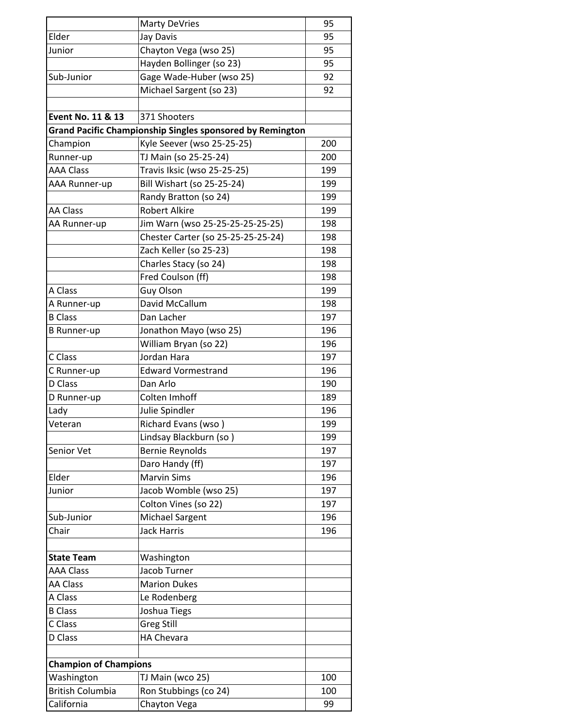|                              | <b>Marty DeVries</b>                                             | 95  |
|------------------------------|------------------------------------------------------------------|-----|
| Elder                        | Jay Davis                                                        | 95  |
| Junior                       | Chayton Vega (wso 25)                                            | 95  |
|                              | Hayden Bollinger (so 23)                                         | 95  |
| Sub-Junior                   | Gage Wade-Huber (wso 25)                                         | 92  |
|                              | Michael Sargent (so 23)                                          | 92  |
|                              |                                                                  |     |
| <b>Event No. 11 &amp; 13</b> | 371 Shooters                                                     |     |
|                              | <b>Grand Pacific Championship Singles sponsored by Remington</b> |     |
| Champion                     | Kyle Seever (wso 25-25-25)                                       | 200 |
| Runner-up                    | TJ Main (so 25-25-24)                                            | 200 |
| <b>AAA Class</b>             | Travis Iksic (wso 25-25-25)                                      | 199 |
| AAA Runner-up                | Bill Wishart (so 25-25-24)                                       | 199 |
|                              | Randy Bratton (so 24)                                            | 199 |
| <b>AA Class</b>              | <b>Robert Alkire</b>                                             | 199 |
| AA Runner-up                 | Jim Warn (wso 25-25-25-25-25-25)                                 | 198 |
|                              | Chester Carter (so 25-25-25-25-24)                               | 198 |
|                              | Zach Keller (so 25-23)                                           | 198 |
|                              | Charles Stacy (so 24)                                            | 198 |
|                              | Fred Coulson (ff)                                                | 198 |
| A Class                      | Guy Olson                                                        | 199 |
| A Runner-up                  | David McCallum                                                   | 198 |
| <b>B</b> Class               | Dan Lacher                                                       | 197 |
| <b>B</b> Runner-up           | Jonathon Mayo (wso 25)                                           | 196 |
|                              | William Bryan (so 22)                                            | 196 |
| C Class                      | Jordan Hara                                                      | 197 |
| C Runner-up                  | <b>Edward Vormestrand</b>                                        | 196 |
| D Class                      | Dan Arlo                                                         | 190 |
| D Runner-up                  | Colten Imhoff                                                    | 189 |
| Lady                         | Julie Spindler                                                   | 196 |
| Veteran                      | Richard Evans (wso)                                              | 199 |
|                              | Lindsay Blackburn (so)                                           | 199 |
| Senior Vet                   | <b>Bernie Reynolds</b>                                           | 197 |
|                              | Daro Handy (ff)                                                  | 197 |
| Elder                        | <b>Marvin Sims</b>                                               | 196 |
| Junior                       | Jacob Womble (wso 25)                                            | 197 |
|                              | Colton Vines (so 22)                                             | 197 |
| Sub-Junior                   | Michael Sargent                                                  | 196 |
| Chair                        | <b>Jack Harris</b>                                               | 196 |
|                              |                                                                  |     |
| <b>State Team</b>            | Washington                                                       |     |
| <b>AAA Class</b>             | Jacob Turner                                                     |     |
| <b>AA Class</b>              | <b>Marion Dukes</b>                                              |     |
| A Class                      | Le Rodenberg                                                     |     |
| <b>B</b> Class               | Joshua Tiegs                                                     |     |
| C Class                      | <b>Greg Still</b>                                                |     |
| D Class                      | <b>HA Chevara</b>                                                |     |
| <b>Champion of Champions</b> |                                                                  |     |
| Washington                   | TJ Main (wco 25)                                                 | 100 |
| <b>British Columbia</b>      | Ron Stubbings (co 24)                                            | 100 |
| California                   | Chayton Vega                                                     | 99  |
|                              |                                                                  |     |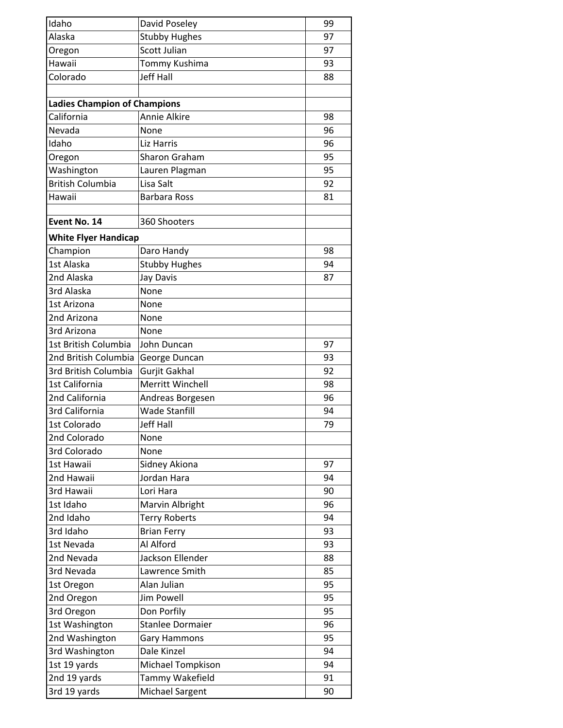| Idaho                               | David Poseley           | 99 |
|-------------------------------------|-------------------------|----|
| Alaska                              | <b>Stubby Hughes</b>    | 97 |
| Oregon                              | <b>Scott Julian</b>     | 97 |
| Hawaii                              | Tommy Kushima           | 93 |
| Colorado                            | <b>Jeff Hall</b>        | 88 |
|                                     |                         |    |
| <b>Ladies Champion of Champions</b> |                         |    |
| California                          | <b>Annie Alkire</b>     | 98 |
| Nevada                              | None                    | 96 |
| Idaho                               | Liz Harris              | 96 |
| Oregon                              | Sharon Graham           | 95 |
| Washington                          | Lauren Plagman          | 95 |
| <b>British Columbia</b>             | Lisa Salt               | 92 |
| Hawaii                              | <b>Barbara Ross</b>     | 81 |
|                                     |                         |    |
| Event No. 14                        | 360 Shooters            |    |
|                                     |                         |    |
| <b>White Flyer Handicap</b>         |                         |    |
| Champion                            | Daro Handy              | 98 |
| 1st Alaska                          | <b>Stubby Hughes</b>    | 94 |
| 2nd Alaska                          | Jay Davis               | 87 |
| 3rd Alaska                          | None                    |    |
| 1st Arizona                         | None                    |    |
| 2nd Arizona                         | None                    |    |
| 3rd Arizona                         | None                    |    |
| 1st British Columbia                | John Duncan             | 97 |
| 2nd British Columbia                | George Duncan           | 93 |
| 3rd British Columbia                | Gurjit Gakhal           | 92 |
| 1st California                      | Merritt Winchell        | 98 |
| 2nd California                      | Andreas Borgesen        | 96 |
| 3rd California                      | <b>Wade Stanfill</b>    | 94 |
| 1st Colorado                        | <b>Jeff Hall</b>        | 79 |
| 2nd Colorado                        | None                    |    |
| 3rd Colorado                        | None                    |    |
| 1st Hawaii                          | Sidney Akiona           | 97 |
| 2nd Hawaii                          | Jordan Hara             | 94 |
| 3rd Hawaii                          | Lori Hara               | 90 |
| 1st Idaho                           | Marvin Albright         | 96 |
| 2nd Idaho                           | <b>Terry Roberts</b>    | 94 |
| 3rd Idaho                           | <b>Brian Ferry</b>      | 93 |
| 1st Nevada                          | Al Alford               | 93 |
| 2nd Nevada                          | Jackson Ellender        | 88 |
| 3rd Nevada                          | Lawrence Smith          | 85 |
| 1st Oregon                          | Alan Julian             | 95 |
| 2nd Oregon                          | <b>Jim Powell</b>       | 95 |
| 3rd Oregon                          | Don Porfily             | 95 |
| 1st Washington                      | <b>Stanlee Dormaier</b> | 96 |
| 2nd Washington                      | <b>Gary Hammons</b>     | 95 |
| 3rd Washington                      | Dale Kinzel             | 94 |
| 1st 19 yards                        | Michael Tompkison       | 94 |
| 2nd 19 yards                        | Tammy Wakefield         | 91 |
| 3rd 19 yards                        | <b>Michael Sargent</b>  | 90 |
|                                     |                         |    |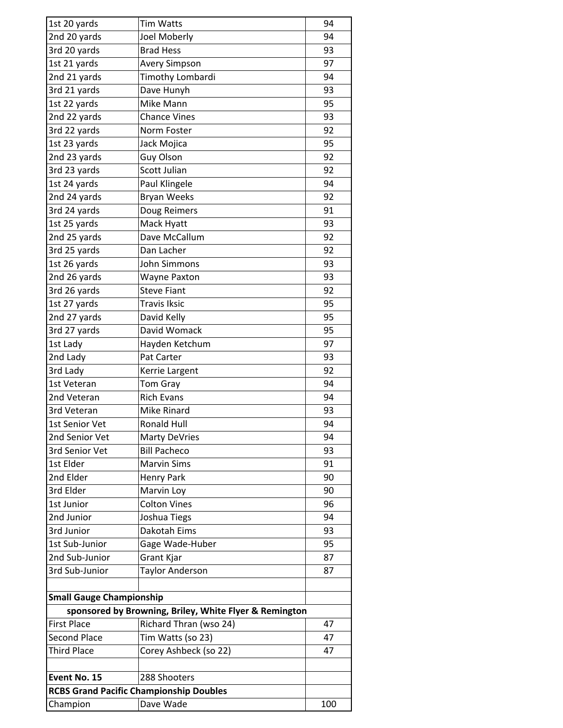| 1st 20 yards                    | <b>Tim Watts</b>                                       | 94  |
|---------------------------------|--------------------------------------------------------|-----|
| 2nd 20 yards                    | Joel Moberly                                           | 94  |
| 3rd 20 yards                    | <b>Brad Hess</b>                                       | 93  |
| 1st 21 yards                    | <b>Avery Simpson</b>                                   | 97  |
| 2nd 21 yards                    | Timothy Lombardi                                       | 94  |
| 3rd 21 yards                    | Dave Hunyh                                             | 93  |
| 1st 22 yards                    | Mike Mann                                              | 95  |
| 2nd 22 yards                    | <b>Chance Vines</b>                                    | 93  |
| 3rd 22 yards                    | Norm Foster                                            | 92  |
| 1st 23 yards                    | Jack Mojica                                            | 95  |
| 2nd 23 yards                    | <b>Guy Olson</b>                                       | 92  |
| 3rd 23 yards                    | <b>Scott Julian</b>                                    | 92  |
| 1st 24 yards                    | Paul Klingele                                          | 94  |
| 2nd 24 yards                    | <b>Bryan Weeks</b>                                     | 92  |
| 3rd 24 yards                    | Doug Reimers                                           | 91  |
| 1st 25 yards                    | Mack Hyatt                                             | 93  |
| 2nd 25 yards                    | Dave McCallum                                          | 92  |
| 3rd 25 yards                    | Dan Lacher                                             | 92  |
| 1st 26 yards                    | John Simmons                                           | 93  |
| 2nd 26 yards                    | <b>Wayne Paxton</b>                                    | 93  |
| 3rd 26 yards                    | <b>Steve Fiant</b>                                     | 92  |
| 1st 27 yards                    | <b>Travis Iksic</b>                                    | 95  |
| 2nd 27 yards                    | David Kelly                                            | 95  |
| 3rd 27 yards                    | David Womack                                           | 95  |
| 1st Lady                        | Hayden Ketchum                                         | 97  |
| 2nd Lady                        | Pat Carter                                             | 93  |
| 3rd Lady                        | Kerrie Largent                                         | 92  |
| 1st Veteran                     | Tom Gray                                               | 94  |
| 2nd Veteran                     | <b>Rich Evans</b>                                      | 94  |
| 3rd Veteran                     | Mike Rinard                                            | 93  |
| 1st Senior Vet                  | <b>Ronald Hull</b>                                     | 94  |
| 2nd Senior Vet                  | <b>Marty DeVries</b>                                   | 94  |
| 3rd Senior Vet                  | <b>Bill Pacheco</b>                                    | 93  |
| 1st Elder                       | <b>Marvin Sims</b>                                     | 91  |
| 2nd Elder                       | Henry Park                                             | 90  |
| 3rd Elder                       | Marvin Loy                                             | 90  |
| 1st Junior                      | <b>Colton Vines</b>                                    | 96  |
| 2nd Junior                      | Joshua Tiegs                                           | 94  |
| 3rd Junior                      | Dakotah Eims                                           | 93  |
| 1st Sub-Junior                  | Gage Wade-Huber                                        | 95  |
| 2nd Sub-Junior                  | Grant Kjar                                             | 87  |
| 3rd Sub-Junior                  | <b>Taylor Anderson</b>                                 | 87  |
|                                 |                                                        |     |
| <b>Small Gauge Championship</b> |                                                        |     |
|                                 | sponsored by Browning, Briley, White Flyer & Remington |     |
| <b>First Place</b>              | Richard Thran (wso 24)                                 | 47  |
| <b>Second Place</b>             | Tim Watts (so 23)                                      | 47  |
| <b>Third Place</b>              | Corey Ashbeck (so 22)                                  | 47  |
|                                 |                                                        |     |
| Event No. 15                    | 288 Shooters                                           |     |
|                                 | <b>RCBS Grand Pacific Championship Doubles</b>         |     |
| Champion                        | Dave Wade                                              | 100 |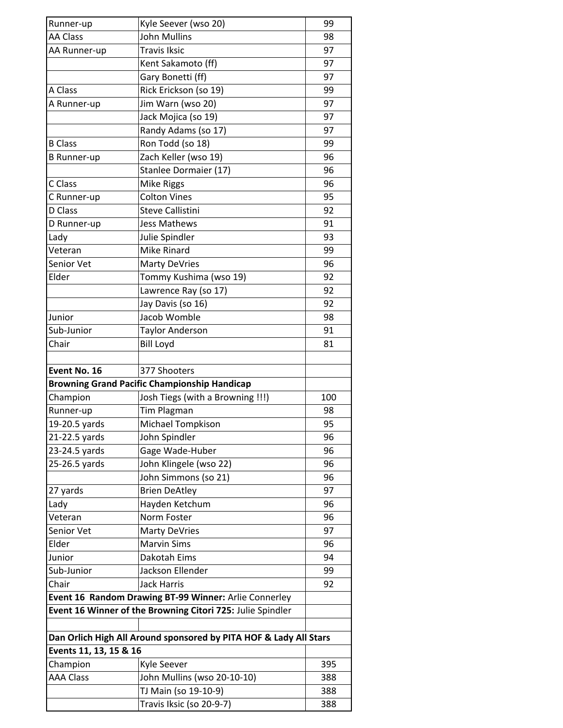| Runner-up              | Kyle Seever (wso 20)                                              | 99  |
|------------------------|-------------------------------------------------------------------|-----|
| <b>AA Class</b>        | <b>John Mullins</b>                                               | 98  |
| AA Runner-up           | <b>Travis Iksic</b>                                               | 97  |
|                        | Kent Sakamoto (ff)                                                | 97  |
|                        | Gary Bonetti (ff)                                                 | 97  |
| A Class                | Rick Erickson (so 19)                                             | 99  |
| A Runner-up            | Jim Warn (wso 20)                                                 | 97  |
|                        | Jack Mojica (so 19)                                               | 97  |
|                        | Randy Adams (so 17)                                               | 97  |
| <b>B</b> Class         | Ron Todd (so 18)                                                  | 99  |
| <b>B</b> Runner-up     | Zach Keller (wso 19)                                              | 96  |
|                        | Stanlee Dormaier (17)                                             | 96  |
| C Class                | <b>Mike Riggs</b>                                                 | 96  |
| C Runner-up            | <b>Colton Vines</b>                                               | 95  |
| D Class                | <b>Steve Callistini</b>                                           | 92  |
| D Runner-up            | <b>Jess Mathews</b>                                               | 91  |
| Lady                   | Julie Spindler                                                    | 93  |
| Veteran                | <b>Mike Rinard</b>                                                | 99  |
| Senior Vet             | <b>Marty DeVries</b>                                              | 96  |
| Elder                  | Tommy Kushima (wso 19)                                            | 92  |
|                        | Lawrence Ray (so 17)                                              | 92  |
|                        | Jay Davis (so 16)                                                 | 92  |
| Junior                 | Jacob Womble                                                      | 98  |
| Sub-Junior             | <b>Taylor Anderson</b>                                            | 91  |
| Chair                  | <b>Bill Loyd</b>                                                  | 81  |
|                        |                                                                   |     |
| Event No. 16           | 377 Shooters                                                      |     |
|                        |                                                                   |     |
|                        | <b>Browning Grand Pacific Championship Handicap</b>               |     |
| Champion               |                                                                   | 100 |
| Runner-up              | Josh Tiegs (with a Browning !!!)<br><b>Tim Plagman</b>            | 98  |
| 19-20.5 yards          | <b>Michael Tompkison</b>                                          | 95  |
| 21-22.5 yards          | John Spindler                                                     | 96  |
| 23-24.5 yards          | Gage Wade-Huber                                                   | 96  |
| 25-26.5 yards          | John Klingele (wso 22)                                            | 96  |
|                        | John Simmons (so 21)                                              | 96  |
| 27 yards               | <b>Brien DeAtley</b>                                              | 97  |
| Lady                   | Hayden Ketchum                                                    | 96  |
| Veteran                | Norm Foster                                                       | 96  |
| Senior Vet             | <b>Marty DeVries</b>                                              | 97  |
| Elder                  | <b>Marvin Sims</b>                                                | 96  |
| Junior                 | Dakotah Eims                                                      | 94  |
| Sub-Junior             | Jackson Ellender                                                  | 99  |
| Chair                  | <b>Jack Harris</b>                                                | 92  |
|                        | Event 16 Random Drawing BT-99 Winner: Arlie Connerley             |     |
|                        | Event 16 Winner of the Browning Citori 725: Julie Spindler        |     |
|                        |                                                                   |     |
|                        | Dan Orlich High All Around sponsored by PITA HOF & Lady All Stars |     |
| Events 11, 13, 15 & 16 |                                                                   |     |
| Champion               | Kyle Seever                                                       | 395 |
| <b>AAA Class</b>       | John Mullins (wso 20-10-10)                                       | 388 |
|                        | TJ Main (so 19-10-9)                                              | 388 |